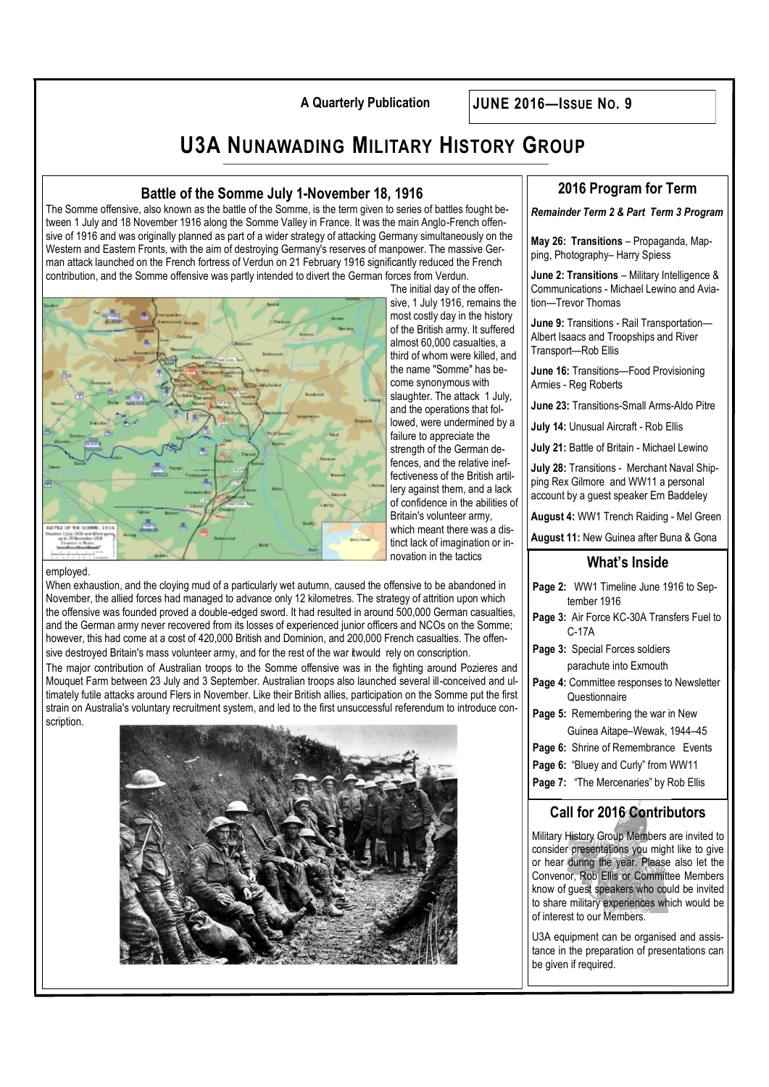**A Quarterly Publication JUNE 2016—ISSUE NO. 9**

# **U3A NUNAWADING MILITARY HISTORY GROUP**

## **Battle of the Somme July 1-November 18, 1916**

The Somme offensive, also known as the battle of the Somme, is the term given to series of battles fought between 1 July and 18 November 1916 along the Somme Valley in France. It was the main Anglo-French offensive of 1916 and was originally planned as part of a wider strategy of attacking Germany simultaneously on the Western and Eastern Fronts, with the aim of destroying Germany's reserves of manpower. The massive German attack launched on the French fortress of Verdun on 21 February 1916 significantly reduced the French contribution, and the Somme offensive was partly intended to divert the German forces from Verdun.



The initial day of the offensive, 1 July 1916, remains the most costly day in the history of the British army. It suffered almost 60,000 casualties, a third of whom were killed, and the name "Somme" has become synonymous with slaughter. The attack 1 July, and the operations that followed, were undermined by a failure to appreciate the strength of the German defences, and the relative ineffectiveness of the British artillery against them, and a lack of confidence in the abilities of Britain's volunteer army, which meant there was a distinct lack of imagination or innovation in the tactics

#### employed.

When exhaustion, and the cloying mud of a particularly wet autumn, caused the offensive to be abandoned in November, the allied forces had managed to advance only 12 kilometres. The strategy of attrition upon which the offensive was founded proved a double-edged sword. It had resulted in around 500,000 German casualties, and the German army never recovered from its losses of experienced junior officers and NCOs on the Somme; however, this had come at a cost of 420,000 British and Dominion, and 200,000 French casualties. The offensive destroyed Britain's mass volunteer army, and for the rest of the war it would rely on conscription.

The major contribution of Australian troops to the Somme offensive was in the fighting around Pozieres and Mouquet Farm between 23 July and 3 September. Australian troops also launched several ill-conceived and ultimately futile attacks around Flers in November. Like their British allies, participation on the Somme put the first strain on Australia's voluntary recruitment system, and led to the first unsuccessful referendum to introduce conscription.



## **2016 Program for Term**

*Remainder Term 2 & Part Term 3 Program*

**May 26: Transitions** – Propaganda, Mapping, Photography– Harry Spiess

**June 2: Transitions** – Military Intelligence & Communications - Michael Lewino and Aviation—Trevor Thomas

**June 9:** Transitions - Rail Transportation— Albert Isaacs and Troopships and River Transport—Rob Ellis

**June 16:** Transitions—Food Provisioning Armies - Reg Roberts

**June 23:** Transitions-Small Arms-Aldo Pitre

**July 14:** Unusual Aircraft - Rob Ellis

**July 21:** Battle of Britain - Michael Lewino

**July 28:** Transitions - Merchant Naval Shipping Rex Gilmore and WW11 a personal account by a guest speaker Ern Baddeley

**August 4:** WW1 Trench Raiding - Mel Green

**August 11:** New Guinea after Buna & Gona

### **What's Inside**

| <b>Page 2:</b> WW1 Timeline June 1916 to Sep- |  |  |  |  |  |
|-----------------------------------------------|--|--|--|--|--|
| tember 1916                                   |  |  |  |  |  |
| Page 3: Air Force KC-30A Transfers Fuel to    |  |  |  |  |  |

C-17A **Page 3:** Special Forces soldiers

parachute into Exmouth

- **Page 4:** Committee responses to Newsletter **Questionnaire**
- **Page 5:** Remembering the war in New
- Guinea Aitape–Wewak, 1944–45
- **Page 6:** Shrine of Remembrance Events
- Page 6: "Bluey and Curly" from WW11
- **Page 7:** "The Mercenaries" by Rob Ellis

## **Call for 2016 Contributors**

Military History Group Members are invited to consider presentations you might like to give or hear during the year. Please also let the Convenor, Rob Ellis or Committee Members know of guest speakers who could be invited to share military experiences which would be of interest to our Members.

U3A equipment can be organised and assistance in the preparation of presentations can be given if required.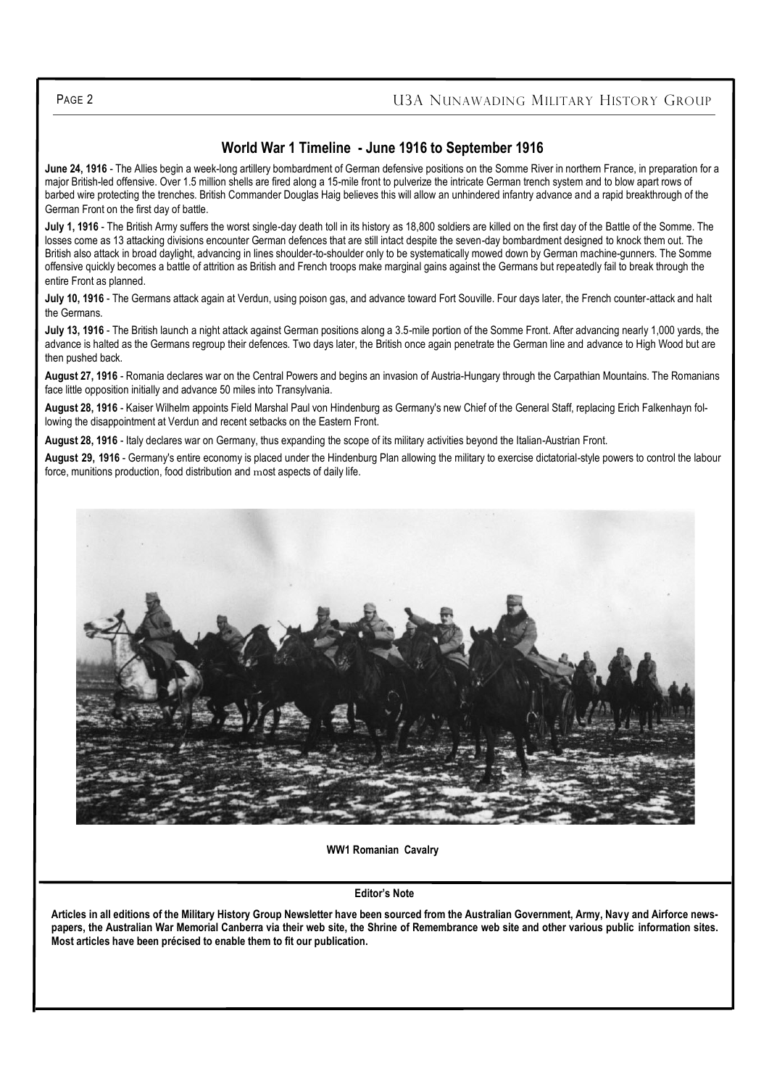## **World War 1 Timeline - June 1916 to September 1916**

**June 24, 1916** - The Allies begin a week-long artillery bombardment of German defensive positions on the Somme River in northern France, in preparation for a major British-led offensive. Over 1.5 million shells are fired along a 15-mile front to pulverize the intricate German trench system and to blow apart rows of barbed wire protecting the trenches. British Commander Douglas Haig believes this will allow an unhindered infantry advance and a rapid breakthrough of the German Front on the first day of battle.

**July 1, 1916** - The British Army suffers the worst single-day death toll in its history as 18,800 soldiers are killed on the first day of the Battle of the Somme. The losses come as 13 attacking divisions encounter German defences that are still intact despite the seven-day bombardment designed to knock them out. The British also attack in broad daylight, advancing in lines shoulder-to-shoulder only to be systematically mowed down by German machine-gunners. The Somme offensive quickly becomes a battle of attrition as British and French troops make marginal gains against the Germans but repeatedly fail to break through the entire Front as planned.

**July 10, 1916** - The Germans attack again at Verdun, using poison gas, and advance toward Fort Souville. Four days later, the French counter-attack and halt the Germans.

**July 13, 1916** - The British launch a night attack against German positions along a 3.5-mile portion of the Somme Front. After advancing nearly 1,000 yards, the advance is halted as the Germans regroup their defences. Two days later, the British once again penetrate the German line and advance to High Wood but are then pushed back.

**August 27, 1916** - Romania declares war on the Central Powers and begins an invasion of Austria-Hungary through the Carpathian Mountains. The Romanians face little opposition initially and advance 50 miles into Transylvania.

**August 28, 1916** - Kaiser Wilhelm appoints Field Marshal Paul von Hindenburg as Germany's new Chief of the General Staff, replacing Erich Falkenhayn following the disappointment at Verdun and recent setbacks on the Eastern Front.

**August 28, 1916** - Italy declares war on Germany, thus expanding the scope of its military activities beyond the Italian-Austrian Front.

**August 29, 1916** - Germany's entire economy is placed under the Hindenburg Plan allowing the military to exercise dictatorial-style powers to control the labour force, munitions production, food distribution and most aspects of daily life.



#### **WW1 Romanian Cavalry**

#### **Editor's Note**

**Articles in all editions of the Military History Group Newsletter have been sourced from the Australian Government, Army, Navy and Airforce newspapers, the Australian War Memorial Canberra via their web site, the Shrine of Remembrance web site and other various public information sites. Most articles have been précised to enable them to fit our publication.**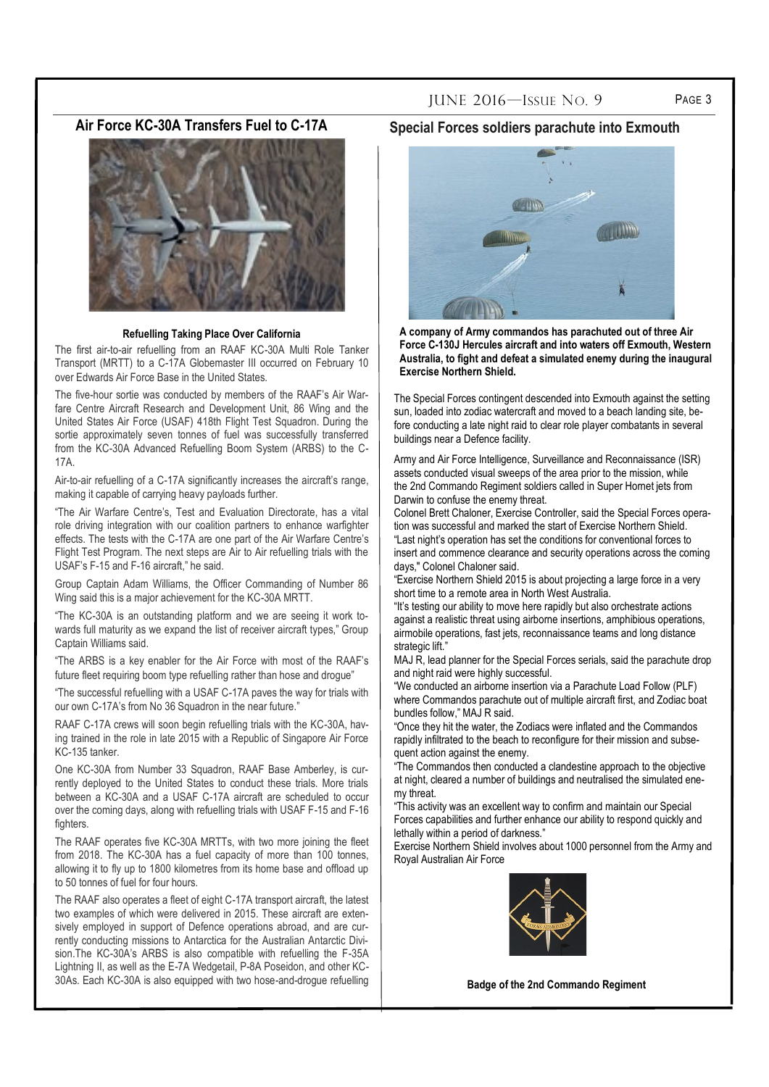## **Air Force KC-30A Transfers Fuel to C-17A**



#### **Refuelling Taking Place Over California**

The first air-to-air refuelling from an RAAF KC-30A Multi Role Tanker Transport (MRTT) to a C-17A Globemaster III occurred on February 10 over Edwards Air Force Base in the United States.

The five-hour sortie was conducted by members of the RAAF's Air Warfare Centre Aircraft Research and Development Unit, 86 Wing and the United States Air Force (USAF) 418th Flight Test Squadron. During the sortie approximately seven tonnes of fuel was successfully transferred from the KC-30A Advanced Refuelling Boom System (ARBS) to the C-17A.

Air-to-air refuelling of a C-17A significantly increases the aircraft's range, making it capable of carrying heavy payloads further.

"The Air Warfare Centre's, Test and Evaluation Directorate, has a vital role driving integration with our coalition partners to enhance warfighter effects. The tests with the C-17A are one part of the Air Warfare Centre's Flight Test Program. The next steps are Air to Air refuelling trials with the USAF's F-15 and F-16 aircraft," he said.

Group Captain Adam Williams, the Officer Commanding of Number 86 Wing said this is a major achievement for the KC-30A MRTT.

"The KC-30A is an outstanding platform and we are seeing it work towards full maturity as we expand the list of receiver aircraft types," Group Captain Williams said.

"The ARBS is a key enabler for the Air Force with most of the RAAF's future fleet requiring boom type refuelling rather than hose and drogue"

"The successful refuelling with a USAF C-17A paves the way for trials with our own C-17A's from No 36 Squadron in the near future."

RAAF C-17A crews will soon begin refuelling trials with the KC-30A, having trained in the role in late 2015 with a Republic of Singapore Air Force KC-135 tanker.

One KC-30A from Number 33 Squadron, RAAF Base Amberley, is currently deployed to the United States to conduct these trials. More trials between a KC-30A and a USAF C-17A aircraft are scheduled to occur over the coming days, along with refuelling trials with USAF F-15 and F-16 fighters

The RAAF operates five KC-30A MRTTs, with two more joining the fleet from 2018. The KC-30A has a fuel capacity of more than 100 tonnes, allowing it to fly up to 1800 kilometres from its home base and offload up to 50 tonnes of fuel for four hours.

The RAAF also operates a fleet of eight C-17A transport aircraft, the latest two examples of which were delivered in 2015. These aircraft are extensively employed in support of Defence operations abroad, and are currently conducting missions to Antarctica for the Australian Antarctic Division.The KC-30A's ARBS is also compatible with refuelling the F-35A Lightning II, as well as the E-7A Wedgetail, P-8A Poseidon, and other KC-30As. Each KC-30A is also equipped with two hose-and-drogue refuelling

#### **Special Forces soldiers parachute into Exmouth**



**A company of Army commandos has parachuted out of three Air Force C-130J Hercules aircraft and into waters off Exmouth, Western Australia, to fight and defeat a simulated enemy during the inaugural Exercise Northern Shield.** 

The Special Forces contingent descended into Exmouth against the setting sun, loaded into zodiac watercraft and moved to a beach landing site, before conducting a late night raid to clear role player combatants in several buildings near a Defence facility.

Army and Air Force Intelligence, Surveillance and Reconnaissance (ISR) assets conducted visual sweeps of the area prior to the mission, while the [2nd Commando Regiment](http://www.army.gov.au/Our-people/Units/Special-Operations-Command/2nd-Commando-Regiment) soldiers called in Super Hornet jets from Darwin to confuse the enemy threat.

Colonel Brett Chaloner, Exercise Controller, said the Special Forces operation was successful and marked the start of Exercise Northern Shield. "Last night's operation has set the conditions for conventional forces to insert and commence clearance and security operations across the coming days," Colonel Chaloner said.

"Exercise Northern Shield 2015 is about projecting a large force in a very short time to a remote area in North West Australia.

"It's testing our ability to move here rapidly but also orchestrate actions against a realistic threat using airborne insertions, amphibious operations, airmobile operations, fast jets, reconnaissance teams and long distance strategic lift."

MAJ R, lead planner for the Special Forces serials, said the parachute drop and night raid were highly successful.

"We conducted an airborne insertion via a Parachute Load Follow (PLF) where Commandos parachute out of multiple aircraft first, and Zodiac boat bundles follow," MAJ R said.

"Once they hit the water, the Zodiacs were inflated and the Commandos rapidly infiltrated to the beach to reconfigure for their mission and subsequent action against the enemy.

"The Commandos then conducted a clandestine approach to the objective at night, cleared a number of buildings and neutralised the simulated enemy threat.

"This activity was an excellent way to confirm and maintain our Special Forces capabilities and further enhance our ability to respond quickly and lethally within a period of darkness."

Exercise Northern Shield involves about 1000 personnel from the Army and [Royal Australian Air Force](http://airforce.gov.au/)



**Badge of the 2nd Commando Regiment**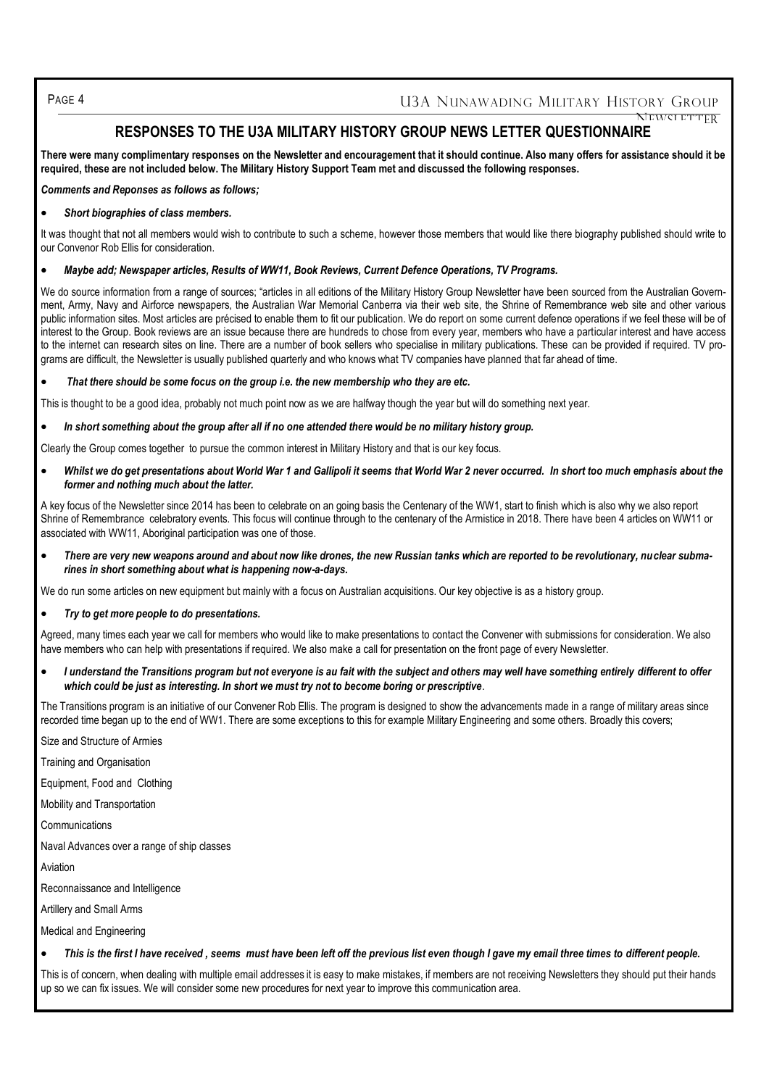PAGE 4 U3A NUNAWADING MILITARY HISTORY GROUP NEWSLETTER

## **RESPONSES TO THE U3A MILITARY HISTORY GROUP NEWS LETTER QUESTIONNAIRE**

**There were many complimentary responses on the Newsletter and encouragement that it should continue. Also many offers for assistance should it be required, these are not included below. The Military History Support Team met and discussed the following responses.**

*Comments and Reponses as follows as follows;*

*Short biographies of class members.*

It was thought that not all members would wish to contribute to such a scheme, however those members that would like there biography published should write to our Convenor Rob Ellis for consideration.

#### *Maybe add; Newspaper articles, Results of WW11, Book Reviews, Current Defence Operations, TV Programs.*

We do source information from a range of sources; "articles in all editions of the Military History Group Newsletter have been sourced from the Australian Government, Army, Navy and Airforce newspapers, the Australian War Memorial Canberra via their web site, the Shrine of Remembrance web site and other various public information sites. Most articles are précised to enable them to fit our publication. We do report on some current defence operations if we feel these will be of interest to the Group. Book reviews are an issue because there are hundreds to chose from every year, members who have a particular interest and have access to the internet can research sites on line. There are a number of book sellers who specialise in military publications. These can be provided if required. TV programs are difficult, the Newsletter is usually published quarterly and who knows what TV companies have planned that far ahead of time.

#### *That there should be some focus on the group i.e. the new membership who they are etc.*

This is thought to be a good idea, probably not much point now as we are halfway though the year but will do something next year.

*In short something about the group after all if no one attended there would be no military history group.* 

Clearly the Group comes together to pursue the common interest in Military History and that is our key focus.

Whilst we do get presentations about World War 1 and Gallipoli it seems that World War 2 never occurred. In short too much emphasis about the *former and nothing much about the latter.* 

A key focus of the Newsletter since 2014 has been to celebrate on an going basis the Centenary of the WW1, start to finish which is also why we also report Shrine of Remembrance celebratory events. This focus will continue through to the centenary of the Armistice in 2018. There have been 4 articles on WW11 or associated with WW11, Aboriginal participation was one of those.

 *There are very new weapons around and about now like drones, the new Russian tanks which are reported to be revolutionary, nuclear submarines in short something about what is happening now-a-days.*

We do run some articles on new equipment but mainly with a focus on Australian acquisitions. Our key objective is as a history group.

#### *Try to get more people to do presentations.*

Agreed, many times each year we call for members who would like to make presentations to contact the Convener with submissions for consideration. We also have members who can help with presentations if required. We also make a call for presentation on the front page of every Newsletter.

 *I understand the Transitions program but not everyone is au fait with the subject and others may well have something entirely different to offer which could be just as interesting. In short we must try not to become boring or prescriptive.*

The Transitions program is an initiative of our Convener Rob Ellis. The program is designed to show the advancements made in a range of military areas since recorded time began up to the end of WW1. There are some exceptions to this for example Military Engineering and some others. Broadly this covers;

Size and Structure of Armies

Training and Organisation

Equipment, Food and Clothing

Mobility and Transportation

Communications

Naval Advances over a range of ship classes

Aviation

Reconnaissance and Intelligence

Artillery and Small Arms

Medical and Engineering

*This is the first I have received , seems must have been left off the previous list even though I gave my email three times to different people.* 

This is of concern, when dealing with multiple email addresses it is easy to make mistakes, if members are not receiving Newsletters they should put their hands up so we can fix issues. We will consider some new procedures for next year to improve this communication area.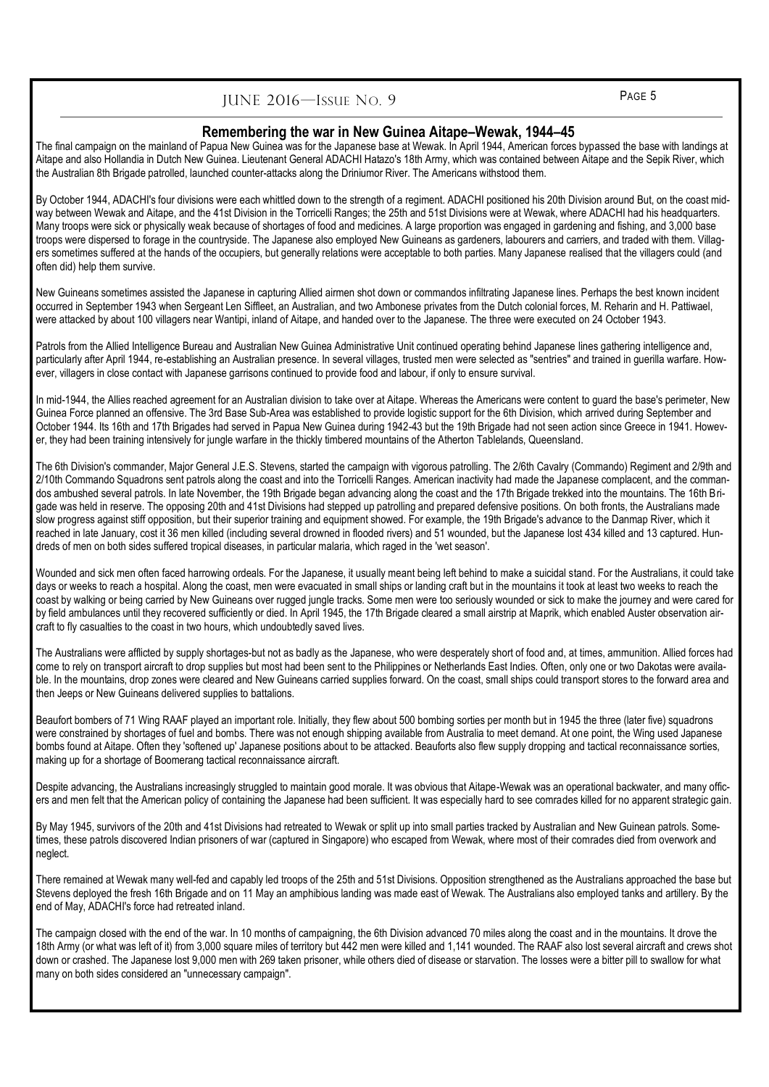## JUNE 2016—ISSUE NO. 9 PAGE 5

#### **Remembering the war in New Guinea Aitape–Wewak, 1944–45**

The final campaign on the mainland of Papua New Guinea was for the Japanese base at Wewak. In April 1944, American forces bypassed the base with landings at Aitape and also Hollandia in Dutch New Guinea. Lieutenant General ADACHI Hatazo's 18th Army, which was contained between Aitape and the Sepik River, which the Australian 8th Brigade patrolled, launched counter-attacks along the Driniumor River. The Americans withstood them.

By October 1944, ADACHI's four divisions were each whittled down to the strength of a regiment. ADACHI positioned his 20th Division around But, on the coast midway between Wewak and Aitape, and the 41st Division in the Torricelli Ranges; the 25th and 51st Divisions were at Wewak, where ADACHI had his headquarters. Many troops were sick or physically weak because of shortages of food and medicines. A large proportion was engaged in gardening and fishing, and 3,000 base troops were dispersed to forage in the countryside. The Japanese also employed New Guineans as gardeners, labourers and carriers, and traded with them. Villagers sometimes suffered at the hands of the occupiers, but generally relations were acceptable to both parties. Many Japanese realised that the villagers could (and often did) help them survive.

New Guineans sometimes assisted the Japanese in capturing Allied airmen shot down or commandos infiltrating Japanese lines. Perhaps the best known incident occurred in September 1943 when Sergeant Len Siffleet, an Australian, and two Ambonese privates from the Dutch colonial forces, M. Reharin and H. Pattiwael, were attacked by about 100 villagers near Wantipi, inland of Aitape, and handed over to the Japanese. The three were executed on 24 October 1943.

Patrols from the Allied Intelligence Bureau and Australian New Guinea Administrative Unit continued operating behind Japanese lines gathering intelligence and, particularly after April 1944, re-establishing an Australian presence. In several villages, trusted men were selected as "sentries" and trained in guerilla warfare. However, villagers in close contact with Japanese garrisons continued to provide food and labour, if only to ensure survival.

In mid-1944, the Allies reached agreement for an Australian division to take over at Aitape. Whereas the Americans were content to guard the base's perimeter, New Guinea Force planned an offensive. The 3rd Base Sub-Area was established to provide logistic support for the 6th Division, which arrived during September and October 1944. Its 16th and 17th Brigades had served in Papua New Guinea during 1942-43 but the 19th Brigade had not seen action since Greece in 1941. However, they had been training intensively for jungle warfare in the thickly timbered mountains of the Atherton Tablelands, Queensland.

The 6th Division's commander, Major General J.E.S. Stevens, started the campaign with vigorous patrolling. The 2/6th Cavalry (Commando) Regiment and 2/9th and 2/10th Commando Squadrons sent patrols along the coast and into the Torricelli Ranges. American inactivity had made the Japanese complacent, and the commandos ambushed several patrols. In late November, the 19th Brigade began advancing along the coast and the 17th Brigade trekked into the mountains. The 16th Brigade was held in reserve. The opposing 20th and 41st Divisions had stepped up patrolling and prepared defensive positions. On both fronts, the Australians made slow progress against stiff opposition, but their superior training and equipment showed. For example, the 19th Brigade's advance to the Danmap River, which it reached in late January, cost it 36 men killed (including several drowned in flooded rivers) and 51 wounded, but the Japanese lost 434 killed and 13 captured. Hundreds of men on both sides suffered tropical diseases, in particular malaria, which raged in the 'wet season'.

Wounded and sick men often faced harrowing ordeals. For the Japanese, it usually meant being left behind to make a suicidal stand. For the Australians, it could take days or weeks to reach a hospital. Along the coast, men were evacuated in small ships or landing craft but in the mountains it took at least two weeks to reach the coast by walking or being carried by New Guineans over rugged jungle tracks. Some men were too seriously wounded or sick to make the journey and were cared for by field ambulances until they recovered sufficiently or died. In April 1945, the 17th Brigade cleared a small airstrip at Maprik, which enabled Auster observation aircraft to fly casualties to the coast in two hours, which undoubtedly saved lives.

The Australians were afflicted by supply shortages-but not as badly as the Japanese, who were desperately short of food and, at times, ammunition. Allied forces had come to rely on transport aircraft to drop supplies but most had been sent to the Philippines or Netherlands East Indies. Often, only one or two Dakotas were available. In the mountains, drop zones were cleared and New Guineans carried supplies forward. On the coast, small ships could transport stores to the forward area and then Jeeps or New Guineans delivered supplies to battalions.

Beaufort bombers of 71 Wing RAAF played an important role. Initially, they flew about 500 bombing sorties per month but in 1945 the three (later five) squadrons were constrained by shortages of fuel and bombs. There was not enough shipping available from Australia to meet demand. At one point, the Wing used Japanese bombs found at Aitape. Often they 'softened up' Japanese positions about to be attacked. Beauforts also flew supply dropping and tactical reconnaissance sorties, making up for a shortage of Boomerang tactical reconnaissance aircraft.

Despite advancing, the Australians increasingly struggled to maintain good morale. It was obvious that Aitape-Wewak was an operational backwater, and many officers and men felt that the American policy of containing the Japanese had been sufficient. It was especially hard to see comrades killed for no apparent strategic gain.

By May 1945, survivors of the 20th and 41st Divisions had retreated to Wewak or split up into small parties tracked by Australian and New Guinean patrols. Sometimes, these patrols discovered Indian prisoners of war (captured in Singapore) who escaped from Wewak, where most of their comrades died from overwork and neglect.

There remained at Wewak many well-fed and capably led troops of the 25th and 51st Divisions. Opposition strengthened as the Australians approached the base but Stevens deployed the fresh 16th Brigade and on 11 May an amphibious landing was made east of Wewak. The Australians also employed tanks and artillery. By the end of May, ADACHI's force had retreated inland.

The campaign closed with the end of the war. In 10 months of campaigning, the 6th Division advanced 70 miles along the coast and in the mountains. It drove the 18th Army (or what was left of it) from 3,000 square miles of territory but 442 men were killed and 1,141 wounded. The RAAF also lost several aircraft and crews shot down or crashed. The Japanese lost 9,000 men with 269 taken prisoner, while others died of disease or starvation. The losses were a bitter pill to swallow for what many on both sides considered an "unnecessary campaign".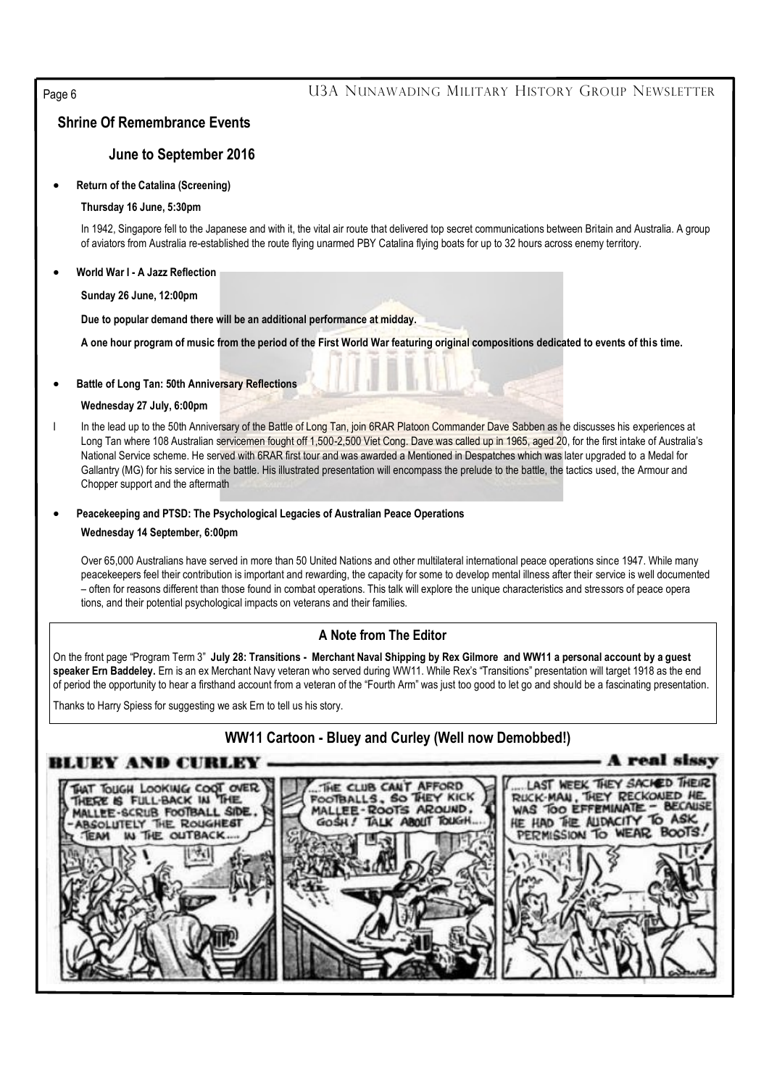## Page 6 **U3A NUNAWADING MILITARY HISTORY GROUP NEWSLETTER**

## **Shrine Of Remembrance Events**

## **June to September 2016**

#### **Return of the Catalina (Screening)**

#### **Thursday 16 June, 5:30pm**

In 1942, Singapore fell to the Japanese and with it, the vital air route that delivered top secret communications between Britain and Australia. A group of aviators from Australia re-established the route flying unarmed PBY Catalina flying boats for up to 32 hours across enemy territory.

#### **World War I - A Jazz Reflection**

**Sunday 26 June, 12:00pm**

**Due to popular demand there will be an additional performance at midday.**

**A one hour program of music from the period of the First World War featuring original compositions dedicated to events of this time.**

#### **Battle of Long Tan: 50th Anniversary Reflections**

#### **Wednesday 27 July, 6:00pm**

In the lead up to the 50th Anniversary of the Battle of Long Tan, join 6RAR Platoon Commander Dave Sabben as he discusses his experiences at Long Tan where 108 Australian servicemen fought off 1,500-2,500 Viet Cong. Dave was called up in 1965, aged 20, for the first intake of Australia's National Service scheme. He served with 6RAR first tour and was awarded a Mentioned in Despatches which was later upgraded to a Medal for Gallantry (MG) for his service in the battle. His illustrated presentation will encompass the prelude to the battle, the tactics used, the Armour and Chopper support and the aftermath

## **Peacekeeping and PTSD: The Psychological Legacies of Australian Peace Operations**

#### **Wednesday 14 September, 6:00pm**

Over 65,000 Australians have served in more than 50 United Nations and other multilateral international peace operations since 1947. While many peacekeepers feel their contribution is important and rewarding, the capacity for some to develop mental illness after their service is well documented – often for reasons different than those found in combat operations. This talk will explore the unique characteristics and stressors of peace opera tions, and their potential psychological impacts on veterans and their families.

### **A Note from The Editor**

On the front page "Program Term 3" **July 28: Transitions - Merchant Naval Shipping by Rex Gilmore and WW11 a personal account by a guest speaker Ern Baddeley.** Ern is an ex Merchant Navy veteran who served during WW11. While Rex's "Transitions" presentation will target 1918 as the end of period the opportunity to hear a firsthand account from a veteran of the "Fourth Arm" was just too good to let go and should be a fascinating presentation.

Thanks to Harry Spiess for suggesting we ask Ern to tell us his story.

## **WW11 Cartoon - Bluey and Curley (Well now Demobbed!)**